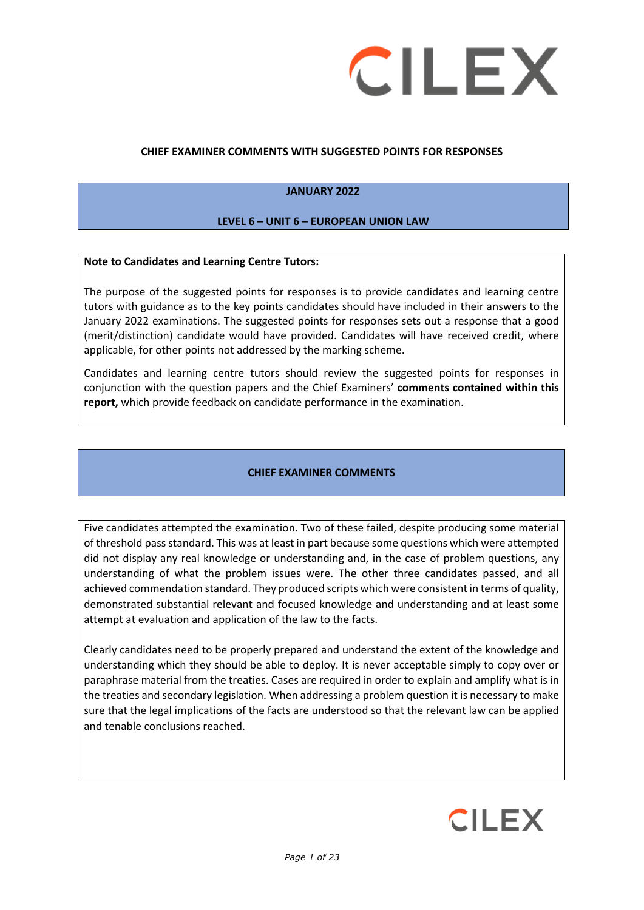

#### **CHIEF EXAMINER COMMENTS WITH SUGGESTED POINTS FOR RESPONSES**

#### **JANUARY 2022**

#### **LEVEL 6 – UNIT 6 – EUROPEAN UNION LAW**

#### **Note to Candidates and Learning Centre Tutors:**

The purpose of the suggested points for responses is to provide candidates and learning centre tutors with guidance as to the key points candidates should have included in their answers to the January 2022 examinations. The suggested points for responses sets out a response that a good (merit/distinction) candidate would have provided. Candidates will have received credit, where applicable, for other points not addressed by the marking scheme.

Candidates and learning centre tutors should review the suggested points for responses in conjunction with the question papers and the Chief Examiners' **comments contained within this report,** which provide feedback on candidate performance in the examination.

#### **CHIEF EXAMINER COMMENTS**

Five candidates attempted the examination. Two of these failed, despite producing some material of threshold pass standard. This was at least in part because some questions which were attempted did not display any real knowledge or understanding and, in the case of problem questions, any understanding of what the problem issues were. The other three candidates passed, and all achieved commendation standard. They produced scripts which were consistent in terms of quality, demonstrated substantial relevant and focused knowledge and understanding and at least some attempt at evaluation and application of the law to the facts.

Clearly candidates need to be properly prepared and understand the extent of the knowledge and understanding which they should be able to deploy. It is never acceptable simply to copy over or paraphrase material from the treaties. Cases are required in order to explain and amplify what is in the treaties and secondary legislation. When addressing a problem question it is necessary to make sure that the legal implications of the facts are understood so that the relevant law can be applied and tenable conclusions reached.

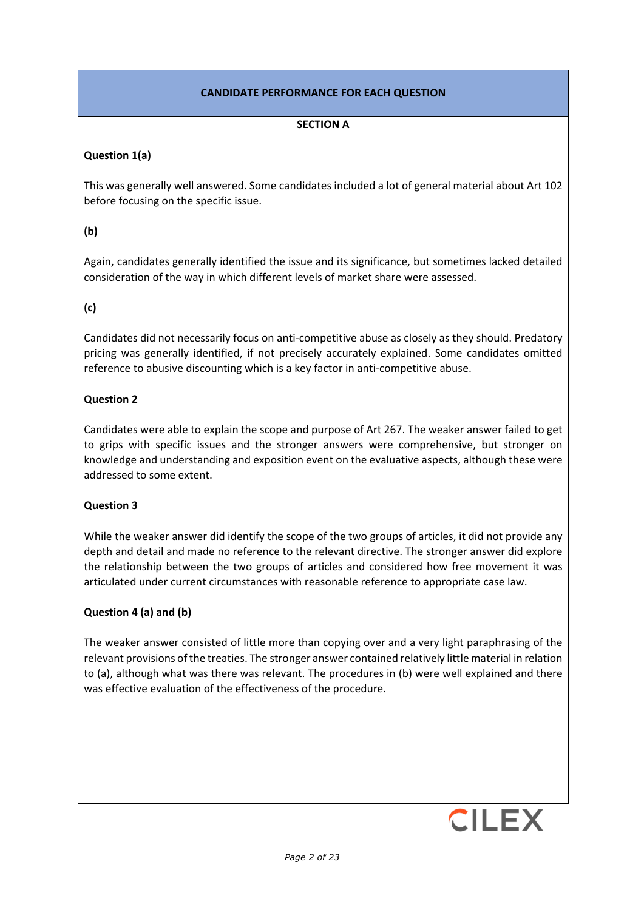# **CANDIDATE PERFORMANCE FOR EACH QUESTION**

## **SECTION A**

### **Question 1(a)**

This was generally well answered. Some candidates included a lot of general material about Art 102 before focusing on the specific issue.

## **(b)**

Again, candidates generally identified the issue and its significance, but sometimes lacked detailed consideration of the way in which different levels of market share were assessed.

## **(c)**

Candidates did not necessarily focus on anti-competitive abuse as closely as they should. Predatory pricing was generally identified, if not precisely accurately explained. Some candidates omitted reference to abusive discounting which is a key factor in anti-competitive abuse.

#### **Question 2**

Candidates were able to explain the scope and purpose of Art 267. The weaker answer failed to get to grips with specific issues and the stronger answers were comprehensive, but stronger on knowledge and understanding and exposition event on the evaluative aspects, although these were addressed to some extent.

## **Question 3**

While the weaker answer did identify the scope of the two groups of articles, it did not provide any depth and detail and made no reference to the relevant directive. The stronger answer did explore the relationship between the two groups of articles and considered how free movement it was articulated under current circumstances with reasonable reference to appropriate case law.

## **Question 4 (a) and (b)**

The weaker answer consisted of little more than copying over and a very light paraphrasing of the relevant provisions of the treaties. The stronger answer contained relatively little material in relation to (a), although what was there was relevant. The procedures in (b) were well explained and there was effective evaluation of the effectiveness of the procedure.

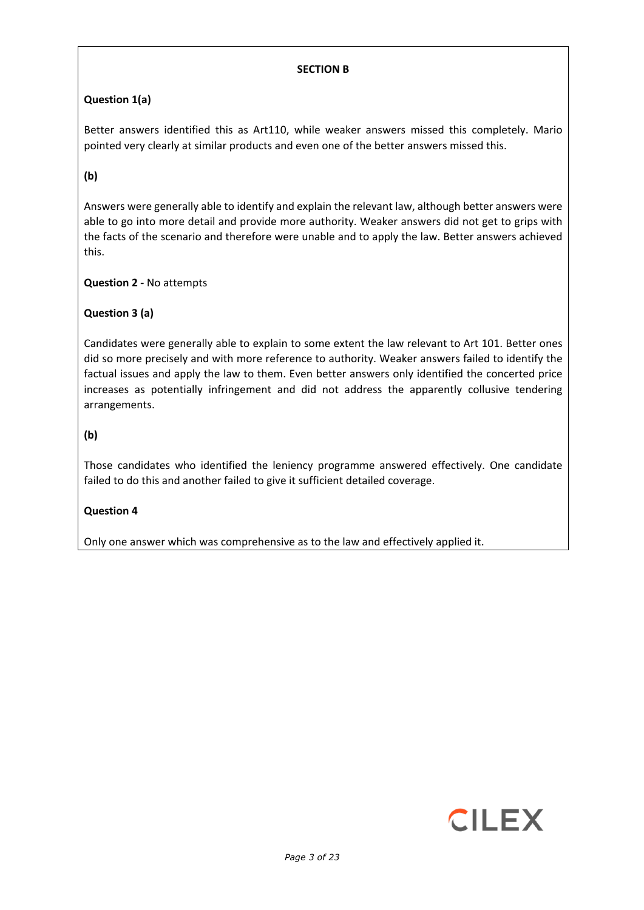## **SECTION B**

# **Question 1(a)**

Better answers identified this as Art110, while weaker answers missed this completely. Mario pointed very clearly at similar products and even one of the better answers missed this.

# **(b)**

Answers were generally able to identify and explain the relevant law, although better answers were able to go into more detail and provide more authority. Weaker answers did not get to grips with the facts of the scenario and therefore were unable and to apply the law. Better answers achieved this.

# **Question 2 -** No attempts

**Question 3 (a)**

Candidates were generally able to explain to some extent the law relevant to Art 101. Better ones did so more precisely and with more reference to authority. Weaker answers failed to identify the factual issues and apply the law to them. Even better answers only identified the concerted price increases as potentially infringement and did not address the apparently collusive tendering arrangements.

# **(b)**

Those candidates who identified the leniency programme answered effectively. One candidate failed to do this and another failed to give it sufficient detailed coverage.

## **Question 4**

Only one answer which was comprehensive as to the law and effectively applied it.

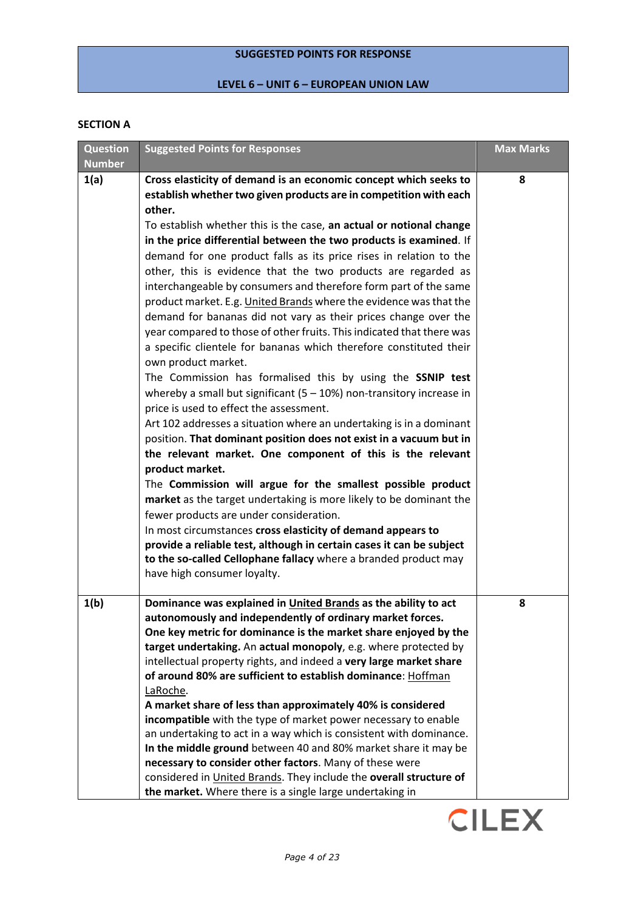## **SUGGESTED POINTS FOR RESPONSE**

# **LEVEL 6 – UNIT 6 – EUROPEAN UNION LAW**

#### **SECTION A**

| <b>Question</b> | <b>Suggested Points for Responses</b>                                                                                                                                                                                                                                                                                                                                                                                                                                                                                                                                                                                                                                                                                                                                                                                                                                                                                                                                                                                                                                                                                                                                                                                                                                                                                                                                                                                                                                                                                                                                                                                                                            | <b>Max Marks</b> |
|-----------------|------------------------------------------------------------------------------------------------------------------------------------------------------------------------------------------------------------------------------------------------------------------------------------------------------------------------------------------------------------------------------------------------------------------------------------------------------------------------------------------------------------------------------------------------------------------------------------------------------------------------------------------------------------------------------------------------------------------------------------------------------------------------------------------------------------------------------------------------------------------------------------------------------------------------------------------------------------------------------------------------------------------------------------------------------------------------------------------------------------------------------------------------------------------------------------------------------------------------------------------------------------------------------------------------------------------------------------------------------------------------------------------------------------------------------------------------------------------------------------------------------------------------------------------------------------------------------------------------------------------------------------------------------------------|------------------|
| <b>Number</b>   |                                                                                                                                                                                                                                                                                                                                                                                                                                                                                                                                                                                                                                                                                                                                                                                                                                                                                                                                                                                                                                                                                                                                                                                                                                                                                                                                                                                                                                                                                                                                                                                                                                                                  |                  |
| 1(a)            | Cross elasticity of demand is an economic concept which seeks to<br>establish whether two given products are in competition with each<br>other.<br>To establish whether this is the case, an actual or notional change<br>in the price differential between the two products is examined. If<br>demand for one product falls as its price rises in relation to the<br>other, this is evidence that the two products are regarded as<br>interchangeable by consumers and therefore form part of the same<br>product market. E.g. United Brands where the evidence was that the<br>demand for bananas did not vary as their prices change over the<br>year compared to those of other fruits. This indicated that there was<br>a specific clientele for bananas which therefore constituted their<br>own product market.<br>The Commission has formalised this by using the SSNIP test<br>whereby a small but significant $(5 - 10%)$ non-transitory increase in<br>price is used to effect the assessment.<br>Art 102 addresses a situation where an undertaking is in a dominant<br>position. That dominant position does not exist in a vacuum but in<br>the relevant market. One component of this is the relevant<br>product market.<br>The Commission will argue for the smallest possible product<br>market as the target undertaking is more likely to be dominant the<br>fewer products are under consideration.<br>In most circumstances cross elasticity of demand appears to<br>provide a reliable test, although in certain cases it can be subject<br>to the so-called Cellophane fallacy where a branded product may<br>have high consumer loyalty. | 8                |
| 1(b)            | Dominance was explained in United Brands as the ability to act                                                                                                                                                                                                                                                                                                                                                                                                                                                                                                                                                                                                                                                                                                                                                                                                                                                                                                                                                                                                                                                                                                                                                                                                                                                                                                                                                                                                                                                                                                                                                                                                   | 8                |
|                 | autonomously and independently of ordinary market forces.<br>One key metric for dominance is the market share enjoyed by the<br>target undertaking. An actual monopoly, e.g. where protected by<br>intellectual property rights, and indeed a very large market share<br>of around 80% are sufficient to establish dominance: Hoffman<br>LaRoche.<br>A market share of less than approximately 40% is considered<br>incompatible with the type of market power necessary to enable<br>an undertaking to act in a way which is consistent with dominance.                                                                                                                                                                                                                                                                                                                                                                                                                                                                                                                                                                                                                                                                                                                                                                                                                                                                                                                                                                                                                                                                                                         |                  |
|                 | In the middle ground between 40 and 80% market share it may be<br>necessary to consider other factors. Many of these were<br>considered in United Brands. They include the overall structure of<br>the market. Where there is a single large undertaking in                                                                                                                                                                                                                                                                                                                                                                                                                                                                                                                                                                                                                                                                                                                                                                                                                                                                                                                                                                                                                                                                                                                                                                                                                                                                                                                                                                                                      |                  |

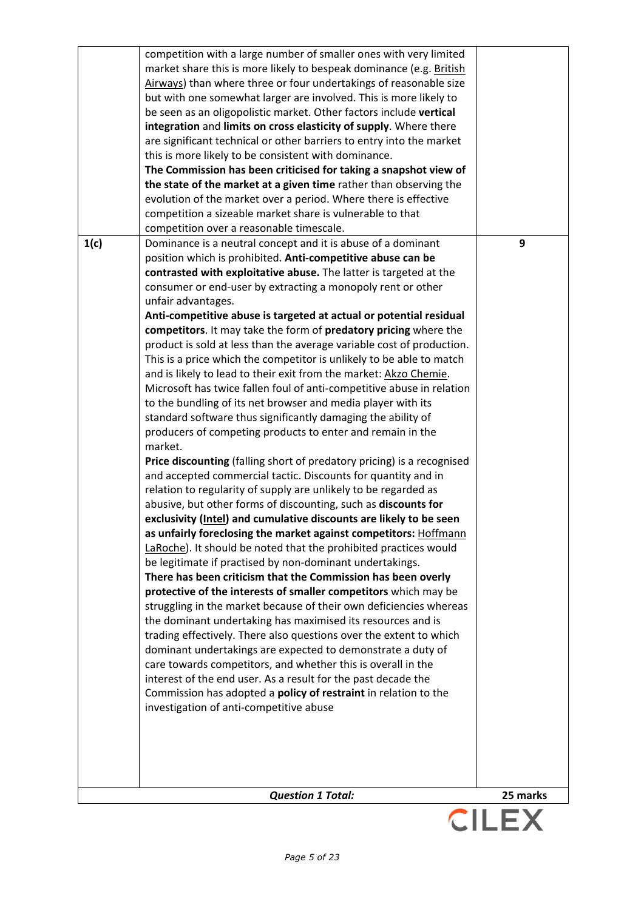|      | but with one somewhat larger are involved. This is more likely to<br>be seen as an oligopolistic market. Other factors include vertical       |          |
|------|-----------------------------------------------------------------------------------------------------------------------------------------------|----------|
|      | integration and limits on cross elasticity of supply. Where there                                                                             |          |
|      | are significant technical or other barriers to entry into the market                                                                          |          |
|      | this is more likely to be consistent with dominance.                                                                                          |          |
|      | The Commission has been criticised for taking a snapshot view of                                                                              |          |
|      | the state of the market at a given time rather than observing the                                                                             |          |
|      | evolution of the market over a period. Where there is effective                                                                               |          |
|      | competition a sizeable market share is vulnerable to that                                                                                     |          |
|      | competition over a reasonable timescale.                                                                                                      |          |
| 1(c) | Dominance is a neutral concept and it is abuse of a dominant                                                                                  | 9        |
|      | position which is prohibited. Anti-competitive abuse can be                                                                                   |          |
|      | contrasted with exploitative abuse. The latter is targeted at the                                                                             |          |
|      | consumer or end-user by extracting a monopoly rent or other                                                                                   |          |
|      | unfair advantages.                                                                                                                            |          |
|      | Anti-competitive abuse is targeted at actual or potential residual                                                                            |          |
|      | competitors. It may take the form of predatory pricing where the                                                                              |          |
|      | product is sold at less than the average variable cost of production.<br>This is a price which the competitor is unlikely to be able to match |          |
|      | and is likely to lead to their exit from the market: Akzo Chemie.                                                                             |          |
|      | Microsoft has twice fallen foul of anti-competitive abuse in relation                                                                         |          |
|      | to the bundling of its net browser and media player with its                                                                                  |          |
|      | standard software thus significantly damaging the ability of                                                                                  |          |
|      | producers of competing products to enter and remain in the                                                                                    |          |
|      | market.                                                                                                                                       |          |
|      | Price discounting (falling short of predatory pricing) is a recognised                                                                        |          |
|      | and accepted commercial tactic. Discounts for quantity and in                                                                                 |          |
|      | relation to regularity of supply are unlikely to be regarded as                                                                               |          |
|      | abusive, but other forms of discounting, such as discounts for                                                                                |          |
|      | exclusivity (Intel) and cumulative discounts are likely to be seen                                                                            |          |
|      | as unfairly foreclosing the market against competitors: Hoffmann                                                                              |          |
|      | LaRoche). It should be noted that the prohibited practices would                                                                              |          |
|      | be legitimate if practised by non-dominant undertakings.<br>There has been criticism that the Commission has been overly                      |          |
|      | protective of the interests of smaller competitors which may be                                                                               |          |
|      | struggling in the market because of their own deficiencies whereas                                                                            |          |
|      | the dominant undertaking has maximised its resources and is                                                                                   |          |
|      | trading effectively. There also questions over the extent to which                                                                            |          |
|      | dominant undertakings are expected to demonstrate a duty of                                                                                   |          |
|      | care towards competitors, and whether this is overall in the                                                                                  |          |
|      | interest of the end user. As a result for the past decade the                                                                                 |          |
|      | Commission has adopted a <b>policy of restraint</b> in relation to the                                                                        |          |
|      | investigation of anti-competitive abuse                                                                                                       |          |
|      |                                                                                                                                               |          |
|      |                                                                                                                                               |          |
|      |                                                                                                                                               |          |
|      |                                                                                                                                               |          |
|      | <b>Question 1 Total:</b>                                                                                                                      | 25 marks |

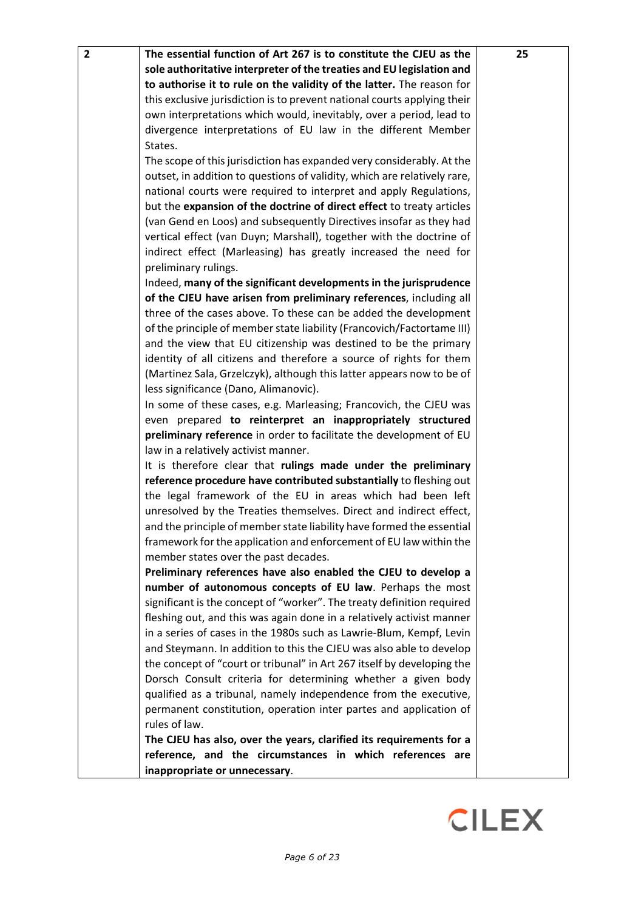| 2 | The essential function of Art 267 is to constitute the CJEU as the<br>sole authoritative interpreter of the treaties and EU legislation and | 25 |
|---|---------------------------------------------------------------------------------------------------------------------------------------------|----|
|   | to authorise it to rule on the validity of the latter. The reason for                                                                       |    |
|   | this exclusive jurisdiction is to prevent national courts applying their                                                                    |    |
|   | own interpretations which would, inevitably, over a period, lead to                                                                         |    |
|   | divergence interpretations of EU law in the different Member                                                                                |    |
|   | States.                                                                                                                                     |    |
|   | The scope of this jurisdiction has expanded very considerably. At the                                                                       |    |
|   | outset, in addition to questions of validity, which are relatively rare,                                                                    |    |
|   | national courts were required to interpret and apply Regulations,                                                                           |    |
|   | but the expansion of the doctrine of direct effect to treaty articles                                                                       |    |
|   | (van Gend en Loos) and subsequently Directives insofar as they had                                                                          |    |
|   | vertical effect (van Duyn; Marshall), together with the doctrine of                                                                         |    |
|   | indirect effect (Marleasing) has greatly increased the need for                                                                             |    |
|   | preliminary rulings.                                                                                                                        |    |
|   | Indeed, many of the significant developments in the jurisprudence                                                                           |    |
|   | of the CJEU have arisen from preliminary references, including all                                                                          |    |
|   | three of the cases above. To these can be added the development                                                                             |    |
|   | of the principle of member state liability (Francovich/Factortame III)                                                                      |    |
|   | and the view that EU citizenship was destined to be the primary                                                                             |    |
|   | identity of all citizens and therefore a source of rights for them                                                                          |    |
|   | (Martinez Sala, Grzelczyk), although this latter appears now to be of                                                                       |    |
|   | less significance (Dano, Alimanovic).                                                                                                       |    |
|   | In some of these cases, e.g. Marleasing; Francovich, the CJEU was                                                                           |    |
|   | even prepared to reinterpret an inappropriately structured<br>preliminary reference in order to facilitate the development of EU            |    |
|   | law in a relatively activist manner.                                                                                                        |    |
|   | It is therefore clear that rulings made under the preliminary                                                                               |    |
|   | reference procedure have contributed substantially to fleshing out                                                                          |    |
|   | the legal framework of the EU in areas which had been left                                                                                  |    |
|   | unresolved by the Treaties themselves. Direct and indirect effect,                                                                          |    |
|   | and the principle of member state liability have formed the essential                                                                       |    |
|   | framework for the application and enforcement of EU law within the                                                                          |    |
|   | member states over the past decades.                                                                                                        |    |
|   | Preliminary references have also enabled the CJEU to develop a                                                                              |    |
|   | number of autonomous concepts of EU law. Perhaps the most                                                                                   |    |
|   | significant is the concept of "worker". The treaty definition required                                                                      |    |
|   | fleshing out, and this was again done in a relatively activist manner                                                                       |    |
|   | in a series of cases in the 1980s such as Lawrie-Blum, Kempf, Levin                                                                         |    |
|   | and Steymann. In addition to this the CJEU was also able to develop                                                                         |    |
|   | the concept of "court or tribunal" in Art 267 itself by developing the                                                                      |    |
|   | Dorsch Consult criteria for determining whether a given body                                                                                |    |
|   | qualified as a tribunal, namely independence from the executive,                                                                            |    |
|   | permanent constitution, operation inter partes and application of                                                                           |    |
|   | rules of law.                                                                                                                               |    |
|   | The CJEU has also, over the years, clarified its requirements for a<br>reference, and the circumstances in which references are             |    |
|   | inappropriate or unnecessary.                                                                                                               |    |
|   |                                                                                                                                             |    |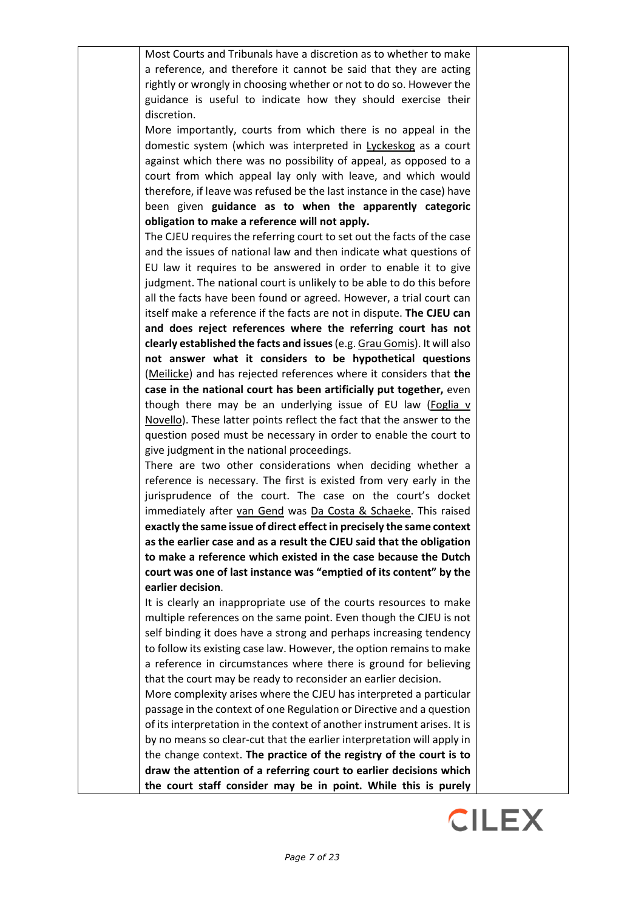| Most Courts and Tribunals have a discretion as to whether to make        |  |
|--------------------------------------------------------------------------|--|
| a reference, and therefore it cannot be said that they are acting        |  |
| rightly or wrongly in choosing whether or not to do so. However the      |  |
| guidance is useful to indicate how they should exercise their            |  |
| discretion.                                                              |  |
| More importantly, courts from which there is no appeal in the            |  |
| domestic system (which was interpreted in Lyckeskog as a court           |  |
| against which there was no possibility of appeal, as opposed to a        |  |
| court from which appeal lay only with leave, and which would             |  |
| therefore, if leave was refused be the last instance in the case) have   |  |
| been given guidance as to when the apparently categoric                  |  |
| obligation to make a reference will not apply.                           |  |
| The CJEU requires the referring court to set out the facts of the case   |  |
| and the issues of national law and then indicate what questions of       |  |
| EU law it requires to be answered in order to enable it to give          |  |
| judgment. The national court is unlikely to be able to do this before    |  |
| all the facts have been found or agreed. However, a trial court can      |  |
| itself make a reference if the facts are not in dispute. The CJEU can    |  |
| and does reject references where the referring court has not             |  |
| clearly established the facts and issues (e.g. Grau Gomis). It will also |  |
| not answer what it considers to be hypothetical questions                |  |
| (Meilicke) and has rejected references where it considers that the       |  |
| case in the national court has been artificially put together, even      |  |
| though there may be an underlying issue of EU law (Foglia v              |  |
| Novello). These latter points reflect the fact that the answer to the    |  |
| question posed must be necessary in order to enable the court to         |  |
| give judgment in the national proceedings.                               |  |
| There are two other considerations when deciding whether a               |  |
| reference is necessary. The first is existed from very early in the      |  |
| jurisprudence of the court. The case on the court's docket               |  |
| immediately after van Gend was Da Costa & Schaeke. This raised           |  |
| exactly the same issue of direct effect in precisely the same context    |  |
| as the earlier case and as a result the CJEU said that the obligation    |  |
| to make a reference which existed in the case because the Dutch          |  |
| court was one of last instance was "emptied of its content" by the       |  |
| earlier decision.                                                        |  |
| It is clearly an inappropriate use of the courts resources to make       |  |
| multiple references on the same point. Even though the CJEU is not       |  |
| self binding it does have a strong and perhaps increasing tendency       |  |
| to follow its existing case law. However, the option remains to make     |  |
| a reference in circumstances where there is ground for believing         |  |
| that the court may be ready to reconsider an earlier decision.           |  |
| More complexity arises where the CJEU has interpreted a particular       |  |
| passage in the context of one Regulation or Directive and a question     |  |
| of its interpretation in the context of another instrument arises. It is |  |
| by no means so clear-cut that the earlier interpretation will apply in   |  |
| the change context. The practice of the registry of the court is to      |  |
| draw the attention of a referring court to earlier decisions which       |  |
| the court staff consider may be in point. While this is purely           |  |

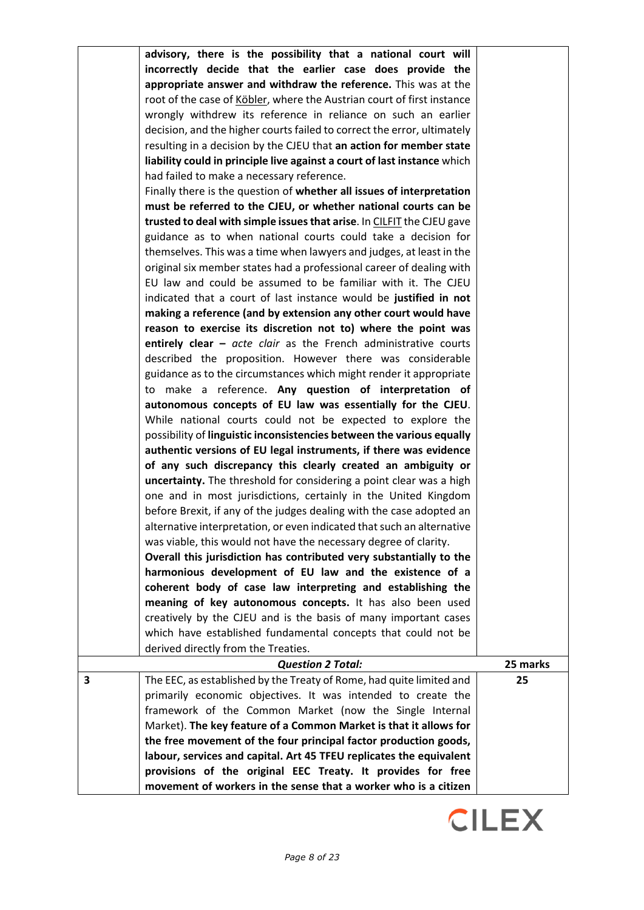|   | advisory, there is the possibility that a national court will            |          |
|---|--------------------------------------------------------------------------|----------|
|   | incorrectly decide that the earlier case does provide the                |          |
|   | appropriate answer and withdraw the reference. This was at the           |          |
|   | root of the case of Köbler, where the Austrian court of first instance   |          |
|   | wrongly withdrew its reference in reliance on such an earlier            |          |
|   | decision, and the higher courts failed to correct the error, ultimately  |          |
|   | resulting in a decision by the CJEU that an action for member state      |          |
|   | liability could in principle live against a court of last instance which |          |
|   | had failed to make a necessary reference.                                |          |
|   | Finally there is the question of whether all issues of interpretation    |          |
|   | must be referred to the CJEU, or whether national courts can be          |          |
|   | trusted to deal with simple issues that arise. In CILFIT the CJEU gave   |          |
|   | guidance as to when national courts could take a decision for            |          |
|   | themselves. This was a time when lawyers and judges, at least in the     |          |
|   | original six member states had a professional career of dealing with     |          |
|   | EU law and could be assumed to be familiar with it. The CJEU             |          |
|   | indicated that a court of last instance would be justified in not        |          |
|   | making a reference (and by extension any other court would have          |          |
|   | reason to exercise its discretion not to) where the point was            |          |
|   | entirely clear $-$ acte clair as the French administrative courts        |          |
|   | described the proposition. However there was considerable                |          |
|   | guidance as to the circumstances which might render it appropriate       |          |
|   |                                                                          |          |
|   | to make a reference. Any question of interpretation of                   |          |
|   | autonomous concepts of EU law was essentially for the CJEU.              |          |
|   | While national courts could not be expected to explore the               |          |
|   | possibility of linguistic inconsistencies between the various equally    |          |
|   | authentic versions of EU legal instruments, if there was evidence        |          |
|   | of any such discrepancy this clearly created an ambiguity or             |          |
|   | uncertainty. The threshold for considering a point clear was a high      |          |
|   | one and in most jurisdictions, certainly in the United Kingdom           |          |
|   | before Brexit, if any of the judges dealing with the case adopted an     |          |
|   | alternative interpretation, or even indicated that such an alternative   |          |
|   | was viable, this would not have the necessary degree of clarity.         |          |
|   | Overall this jurisdiction has contributed very substantially to the      |          |
|   | harmonious development of EU law and the existence of a                  |          |
|   | coherent body of case law interpreting and establishing the              |          |
|   | meaning of key autonomous concepts. It has also been used                |          |
|   | creatively by the CJEU and is the basis of many important cases          |          |
|   | which have established fundamental concepts that could not be            |          |
|   | derived directly from the Treaties.                                      |          |
|   | <b>Question 2 Total:</b>                                                 | 25 marks |
| 3 | The EEC, as established by the Treaty of Rome, had quite limited and     | 25       |
|   | primarily economic objectives. It was intended to create the             |          |
|   | framework of the Common Market (now the Single Internal                  |          |
|   | Market). The key feature of a Common Market is that it allows for        |          |
|   | the free movement of the four principal factor production goods,         |          |
|   | labour, services and capital. Art 45 TFEU replicates the equivalent      |          |
|   | provisions of the original EEC Treaty. It provides for free              |          |
|   | movement of workers in the sense that a worker who is a citizen          |          |

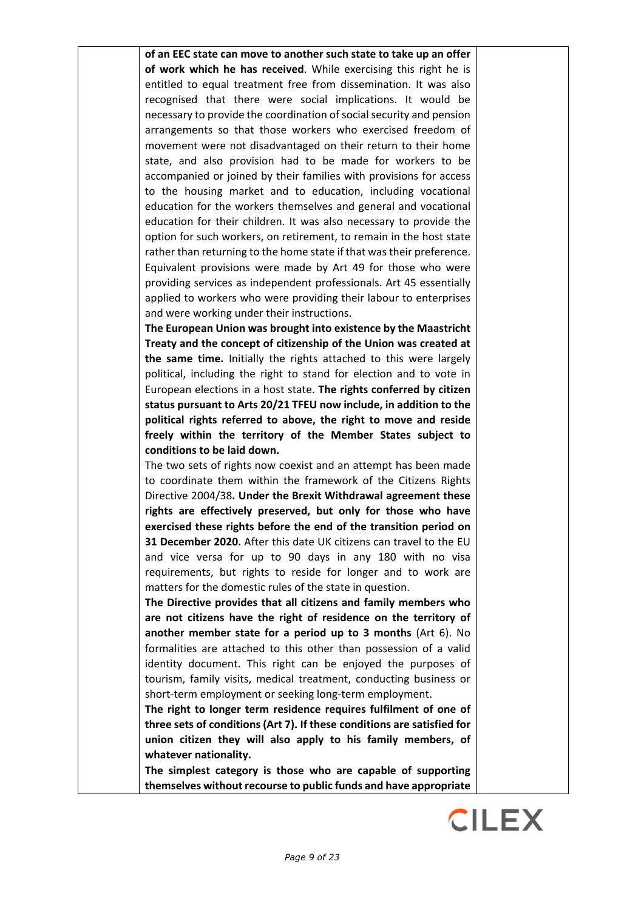**of an EEC state can move to another such state to take up an offer of work which he has received**. While exercising this right he is entitled to equal treatment free from dissemination. It was also recognised that there were social implications. It would be necessary to provide the coordination of social security and pension arrangements so that those workers who exercised freedom of movement were not disadvantaged on their return to their home state, and also provision had to be made for workers to be accompanied or joined by their families with provisions for access to the housing market and to education, including vocational education for the workers themselves and general and vocational education for their children. It was also necessary to provide the option for such workers, on retirement, to remain in the host state rather than returning to the home state if that was their preference. Equivalent provisions were made by Art 49 for those who were providing services as independent professionals. Art 45 essentially applied to workers who were providing their labour to enterprises and were working under their instructions.

**The European Union was brought into existence by the Maastricht Treaty and the concept of citizenship of the Union was created at the same time.** Initially the rights attached to this were largely political, including the right to stand for election and to vote in European elections in a host state. **The rights conferred by citizen status pursuant to Arts 20/21 TFEU now include, in addition to the political rights referred to above, the right to move and reside freely within the territory of the Member States subject to conditions to be laid down.**

The two sets of rights now coexist and an attempt has been made to coordinate them within the framework of the Citizens Rights Directive 2004/38**. Under the Brexit Withdrawal agreement these rights are effectively preserved, but only for those who have exercised these rights before the end of the transition period on 31 December 2020.** After this date UK citizens can travel to the EU and vice versa for up to 90 days in any 180 with no visa requirements, but rights to reside for longer and to work are matters for the domestic rules of the state in question.

**The Directive provides that all citizens and family members who are not citizens have the right of residence on the territory of another member state for a period up to 3 months** (Art 6). No formalities are attached to this other than possession of a valid identity document. This right can be enjoyed the purposes of tourism, family visits, medical treatment, conducting business or short-term employment or seeking long-term employment.

**The right to longer term residence requires fulfilment of one of three sets of conditions (Art 7). If these conditions are satisfied for union citizen they will also apply to his family members, of whatever nationality.** 

**The simplest category is those who are capable of supporting themselves without recourse to public funds and have appropriate** 

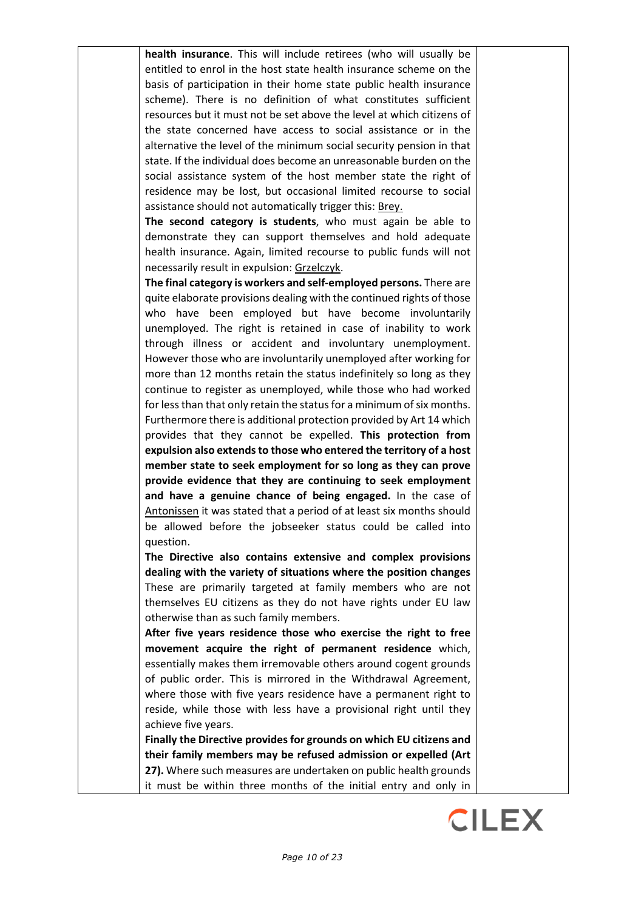**health insurance**. This will include retirees (who will usually be entitled to enrol in the host state health insurance scheme on the basis of participation in their home state public health insurance scheme). There is no definition of what constitutes sufficient resources but it must not be set above the level at which citizens of the state concerned have access to social assistance or in the alternative the level of the minimum social security pension in that state. If the individual does become an unreasonable burden on the social assistance system of the host member state the right of residence may be lost, but occasional limited recourse to social assistance should not automatically trigger this: Brey.

**The second category is students**, who must again be able to demonstrate they can support themselves and hold adequate health insurance. Again, limited recourse to public funds will not necessarily result in expulsion: Grzelczyk.

**The final category is workers and self-employed persons.** There are quite elaborate provisions dealing with the continued rights of those who have been employed but have become involuntarily unemployed. The right is retained in case of inability to work through illness or accident and involuntary unemployment. However those who are involuntarily unemployed after working for more than 12 months retain the status indefinitely so long as they continue to register as unemployed, while those who had worked for less than that only retain the status for a minimum of six months. Furthermore there is additional protection provided by Art 14 which provides that they cannot be expelled. **This protection from expulsion also extends to those who entered the territory of a host member state to seek employment for so long as they can prove provide evidence that they are continuing to seek employment and have a genuine chance of being engaged.** In the case of Antonissen it was stated that a period of at least six months should be allowed before the jobseeker status could be called into question.

**The Directive also contains extensive and complex provisions dealing with the variety of situations where the position changes** These are primarily targeted at family members who are not themselves EU citizens as they do not have rights under EU law otherwise than as such family members.

**After five years residence those who exercise the right to free movement acquire the right of permanent residence** which, essentially makes them irremovable others around cogent grounds of public order. This is mirrored in the Withdrawal Agreement, where those with five years residence have a permanent right to reside, while those with less have a provisional right until they achieve five years.

**Finally the Directive provides for grounds on which EU citizens and their family members may be refused admission or expelled (Art 27).** Where such measures are undertaken on public health grounds it must be within three months of the initial entry and only in

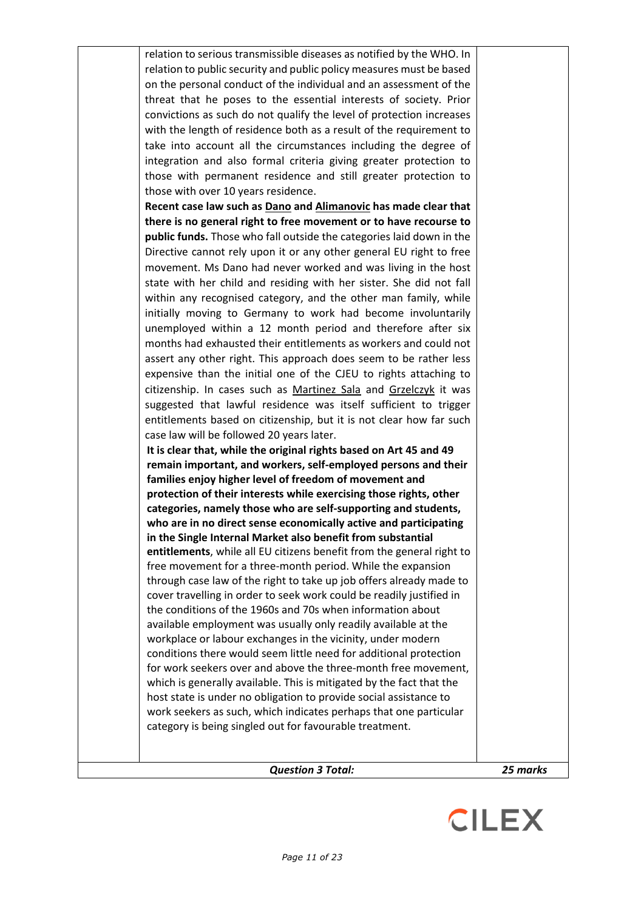| <b>Question 3 Total:</b>                                                                                                            | 25 marks |
|-------------------------------------------------------------------------------------------------------------------------------------|----------|
|                                                                                                                                     |          |
|                                                                                                                                     |          |
| category is being singled out for favourable treatment.                                                                             |          |
| work seekers as such, which indicates perhaps that one particular                                                                   |          |
| host state is under no obligation to provide social assistance to                                                                   |          |
| which is generally available. This is mitigated by the fact that the                                                                |          |
| conditions there would seem little need for additional protection<br>for work seekers over and above the three-month free movement, |          |
| workplace or labour exchanges in the vicinity, under modern                                                                         |          |
| available employment was usually only readily available at the                                                                      |          |
| the conditions of the 1960s and 70s when information about                                                                          |          |
| cover travelling in order to seek work could be readily justified in                                                                |          |
| through case law of the right to take up job offers already made to                                                                 |          |
| free movement for a three-month period. While the expansion                                                                         |          |
| entitlements, while all EU citizens benefit from the general right to                                                               |          |
| in the Single Internal Market also benefit from substantial                                                                         |          |
| who are in no direct sense economically active and participating                                                                    |          |
| categories, namely those who are self-supporting and students,                                                                      |          |
| protection of their interests while exercising those rights, other                                                                  |          |
| families enjoy higher level of freedom of movement and                                                                              |          |
| remain important, and workers, self-employed persons and their                                                                      |          |
| It is clear that, while the original rights based on Art 45 and 49                                                                  |          |
| case law will be followed 20 years later.                                                                                           |          |
| entitlements based on citizenship, but it is not clear how far such                                                                 |          |
| suggested that lawful residence was itself sufficient to trigger                                                                    |          |
| citizenship. In cases such as Martinez Sala and Grzelczyk it was                                                                    |          |
| expensive than the initial one of the CJEU to rights attaching to                                                                   |          |
| assert any other right. This approach does seem to be rather less                                                                   |          |
| months had exhausted their entitlements as workers and could not                                                                    |          |
| unemployed within a 12 month period and therefore after six                                                                         |          |
| initially moving to Germany to work had become involuntarily                                                                        |          |
| within any recognised category, and the other man family, while                                                                     |          |
| state with her child and residing with her sister. She did not fall                                                                 |          |
| movement. Ms Dano had never worked and was living in the host                                                                       |          |
| Directive cannot rely upon it or any other general EU right to free                                                                 |          |
|                                                                                                                                     |          |
| public funds. Those who fall outside the categories laid down in the                                                                |          |
| there is no general right to free movement or to have recourse to                                                                   |          |
| Recent case law such as Dano and Alimanovic has made clear that                                                                     |          |
| those with over 10 years residence.                                                                                                 |          |
| those with permanent residence and still greater protection to                                                                      |          |
| integration and also formal criteria giving greater protection to                                                                   |          |
| take into account all the circumstances including the degree of                                                                     |          |
| with the length of residence both as a result of the requirement to                                                                 |          |
| convictions as such do not qualify the level of protection increases                                                                |          |
| threat that he poses to the essential interests of society. Prior                                                                   |          |
| on the personal conduct of the individual and an assessment of the                                                                  |          |
| relation to public security and public policy measures must be based                                                                |          |
| relation to serious transmissible diseases as notified by the WHO. In                                                               |          |
|                                                                                                                                     |          |

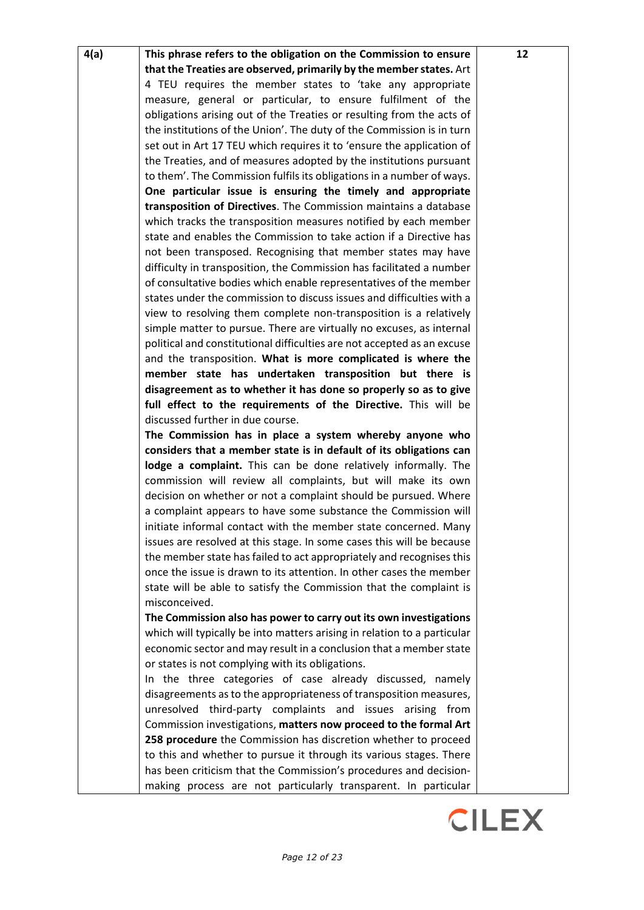| 4(a)<br>This phrase refers to the obligation on the Commission to ensure | 12 |
|--------------------------------------------------------------------------|----|
| that the Treaties are observed, primarily by the member states. Art      |    |
| 4 TEU requires the member states to 'take any appropriate                |    |
| measure, general or particular, to ensure fulfilment of the              |    |
| obligations arising out of the Treaties or resulting from the acts of    |    |
| the institutions of the Union'. The duty of the Commission is in turn    |    |
| set out in Art 17 TEU which requires it to 'ensure the application of    |    |
| the Treaties, and of measures adopted by the institutions pursuant       |    |
| to them'. The Commission fulfils its obligations in a number of ways.    |    |
| One particular issue is ensuring the timely and appropriate              |    |
| transposition of Directives. The Commission maintains a database         |    |
| which tracks the transposition measures notified by each member          |    |
| state and enables the Commission to take action if a Directive has       |    |
| not been transposed. Recognising that member states may have             |    |
| difficulty in transposition, the Commission has facilitated a number     |    |
| of consultative bodies which enable representatives of the member        |    |
| states under the commission to discuss issues and difficulties with a    |    |
| view to resolving them complete non-transposition is a relatively        |    |
| simple matter to pursue. There are virtually no excuses, as internal     |    |
| political and constitutional difficulties are not accepted as an excuse  |    |
| and the transposition. What is more complicated is where the             |    |
| member state has undertaken transposition but there is                   |    |
| disagreement as to whether it has done so properly so as to give         |    |
| full effect to the requirements of the Directive. This will be           |    |
| discussed further in due course.                                         |    |
|                                                                          |    |
| The Commission has in place a system whereby anyone who                  |    |
| considers that a member state is in default of its obligations can       |    |
| lodge a complaint. This can be done relatively informally. The           |    |
| commission will review all complaints, but will make its own             |    |
| decision on whether or not a complaint should be pursued. Where          |    |
| a complaint appears to have some substance the Commission will           |    |
| initiate informal contact with the member state concerned. Many          |    |
| issues are resolved at this stage. In some cases this will be because    |    |
| the member state has failed to act appropriately and recognises this     |    |
| once the issue is drawn to its attention. In other cases the member      |    |
| state will be able to satisfy the Commission that the complaint is       |    |
| misconceived.                                                            |    |
| The Commission also has power to carry out its own investigations        |    |
| which will typically be into matters arising in relation to a particular |    |
| economic sector and may result in a conclusion that a member state       |    |
| or states is not complying with its obligations.                         |    |
| In the three categories of case already discussed, namely                |    |
| disagreements as to the appropriateness of transposition measures,       |    |
| unresolved third-party complaints and issues arising from                |    |
| Commission investigations, matters now proceed to the formal Art         |    |
| 258 procedure the Commission has discretion whether to proceed           |    |
| to this and whether to pursue it through its various stages. There       |    |
| has been criticism that the Commission's procedures and decision-        |    |
| making process are not particularly transparent. In particular           |    |

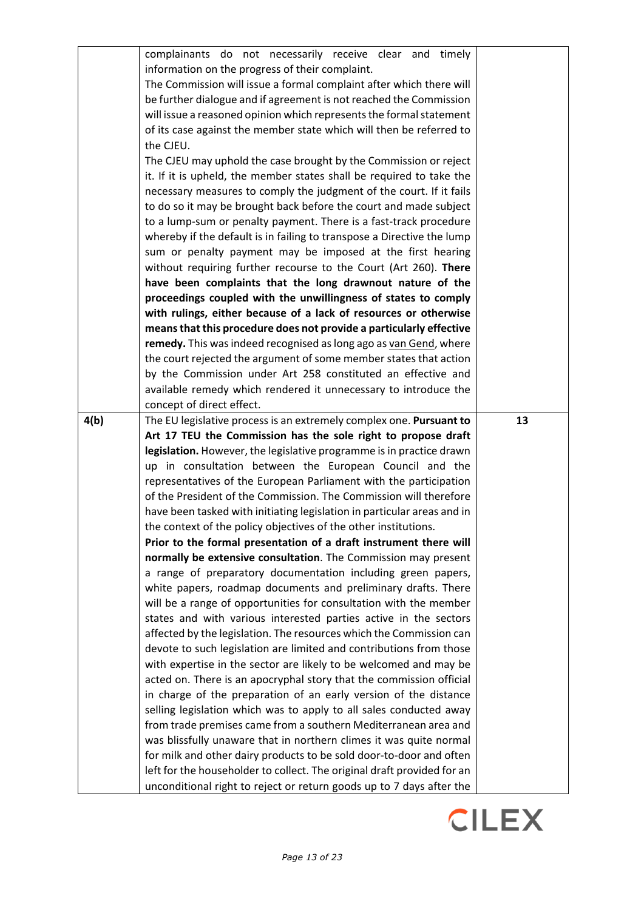|      | complainants do not necessarily receive clear and timely                |    |
|------|-------------------------------------------------------------------------|----|
|      | information on the progress of their complaint.                         |    |
|      | The Commission will issue a formal complaint after which there will     |    |
|      | be further dialogue and if agreement is not reached the Commission      |    |
|      | will issue a reasoned opinion which represents the formal statement     |    |
|      | of its case against the member state which will then be referred to     |    |
|      | the CJEU.                                                               |    |
|      | The CJEU may uphold the case brought by the Commission or reject        |    |
|      | it. If it is upheld, the member states shall be required to take the    |    |
|      | necessary measures to comply the judgment of the court. If it fails     |    |
|      | to do so it may be brought back before the court and made subject       |    |
|      | to a lump-sum or penalty payment. There is a fast-track procedure       |    |
|      | whereby if the default is in failing to transpose a Directive the lump  |    |
|      | sum or penalty payment may be imposed at the first hearing              |    |
|      | without requiring further recourse to the Court (Art 260). There        |    |
|      | have been complaints that the long drawnout nature of the               |    |
|      | proceedings coupled with the unwillingness of states to comply          |    |
|      | with rulings, either because of a lack of resources or otherwise        |    |
|      | means that this procedure does not provide a particularly effective     |    |
|      | remedy. This was indeed recognised as long ago as van Gend, where       |    |
|      | the court rejected the argument of some member states that action       |    |
|      | by the Commission under Art 258 constituted an effective and            |    |
|      | available remedy which rendered it unnecessary to introduce the         |    |
|      | concept of direct effect.                                               |    |
| 4(b) | The EU legislative process is an extremely complex one. Pursuant to     | 13 |
|      | Art 17 TEU the Commission has the sole right to propose draft           |    |
|      | legislation. However, the legislative programme is in practice drawn    |    |
|      | up in consultation between the European Council and the                 |    |
|      | representatives of the European Parliament with the participation       |    |
|      | of the President of the Commission. The Commission will therefore       |    |
|      | have been tasked with initiating legislation in particular areas and in |    |
|      | the context of the policy objectives of the other institutions.         |    |
|      | Prior to the formal presentation of a draft instrument there will       |    |
|      | normally be extensive consultation. The Commission may present          |    |
|      | a range of preparatory documentation including green papers,            |    |
|      | white papers, roadmap documents and preliminary drafts. There           |    |
|      | will be a range of opportunities for consultation with the member       |    |
|      | states and with various interested parties active in the sectors        |    |
|      | affected by the legislation. The resources which the Commission can     |    |
|      | devote to such legislation are limited and contributions from those     |    |
|      | with expertise in the sector are likely to be welcomed and may be       |    |
|      | acted on. There is an apocryphal story that the commission official     |    |
|      | in charge of the preparation of an early version of the distance        |    |
|      | selling legislation which was to apply to all sales conducted away      |    |
|      | from trade premises came from a southern Mediterranean area and         |    |
|      | was blissfully unaware that in northern climes it was quite normal      |    |
|      | for milk and other dairy products to be sold door-to-door and often     |    |
|      | left for the householder to collect. The original draft provided for an |    |
|      | unconditional right to reject or return goods up to 7 days after the    |    |

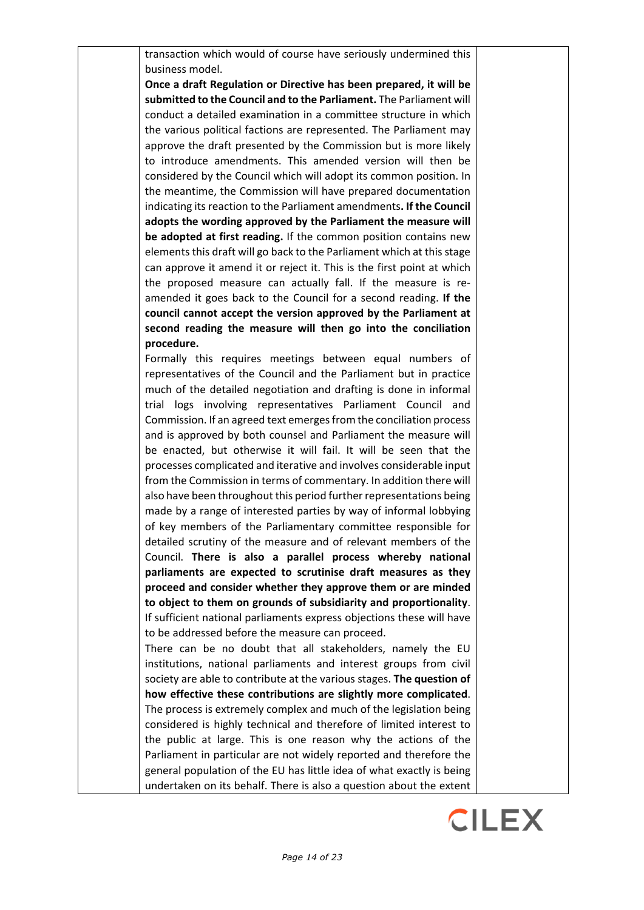transaction which would of course have seriously undermined this business model.

**Once a draft Regulation or Directive has been prepared, it will be submitted to the Council and to the Parliament.** The Parliament will conduct a detailed examination in a committee structure in which the various political factions are represented. The Parliament may approve the draft presented by the Commission but is more likely to introduce amendments. This amended version will then be considered by the Council which will adopt its common position. In the meantime, the Commission will have prepared documentation indicating its reaction to the Parliament amendments**. If the Council adopts the wording approved by the Parliament the measure will be adopted at first reading.** If the common position contains new elements this draft will go back to the Parliament which at this stage can approve it amend it or reject it. This is the first point at which the proposed measure can actually fall. If the measure is reamended it goes back to the Council for a second reading. **If the council cannot accept the version approved by the Parliament at second reading the measure will then go into the conciliation procedure.**

Formally this requires meetings between equal numbers of representatives of the Council and the Parliament but in practice much of the detailed negotiation and drafting is done in informal trial logs involving representatives Parliament Council and Commission. If an agreed text emerges from the conciliation process and is approved by both counsel and Parliament the measure will be enacted, but otherwise it will fail. It will be seen that the processes complicated and iterative and involves considerable input from the Commission in terms of commentary. In addition there will also have been throughout this period further representations being made by a range of interested parties by way of informal lobbying of key members of the Parliamentary committee responsible for detailed scrutiny of the measure and of relevant members of the Council. **There is also a parallel process whereby national parliaments are expected to scrutinise draft measures as they proceed and consider whether they approve them or are minded to object to them on grounds of subsidiarity and proportionality**. If sufficient national parliaments express objections these will have to be addressed before the measure can proceed.

There can be no doubt that all stakeholders, namely the EU institutions, national parliaments and interest groups from civil society are able to contribute at the various stages. **The question of how effective these contributions are slightly more complicated**. The process is extremely complex and much of the legislation being considered is highly technical and therefore of limited interest to the public at large. This is one reason why the actions of the Parliament in particular are not widely reported and therefore the general population of the EU has little idea of what exactly is being undertaken on its behalf. There is also a question about the extent

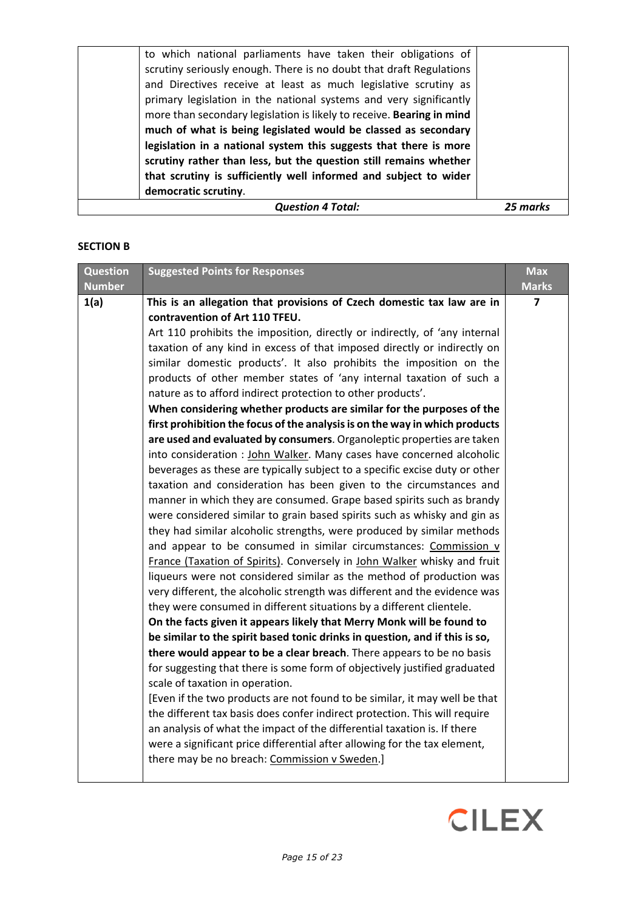### **SECTION B**

| <b>Question</b><br><b>Number</b> | <b>Suggested Points for Responses</b>                                                                                                                                                                                                                                                                                                                                                                                                                                                                                                                                                                                                                                                                                                                                                                                                                                                                                                                                                                                                                                                                                                                                                                                                                                                                                                                                                                                                                                                                                                                                                                                                                                                                                                                                                                                                                                                                                                                                                                                                                                                                                                                                                                                                                                              | <b>Max</b><br><b>Marks</b> |
|----------------------------------|------------------------------------------------------------------------------------------------------------------------------------------------------------------------------------------------------------------------------------------------------------------------------------------------------------------------------------------------------------------------------------------------------------------------------------------------------------------------------------------------------------------------------------------------------------------------------------------------------------------------------------------------------------------------------------------------------------------------------------------------------------------------------------------------------------------------------------------------------------------------------------------------------------------------------------------------------------------------------------------------------------------------------------------------------------------------------------------------------------------------------------------------------------------------------------------------------------------------------------------------------------------------------------------------------------------------------------------------------------------------------------------------------------------------------------------------------------------------------------------------------------------------------------------------------------------------------------------------------------------------------------------------------------------------------------------------------------------------------------------------------------------------------------------------------------------------------------------------------------------------------------------------------------------------------------------------------------------------------------------------------------------------------------------------------------------------------------------------------------------------------------------------------------------------------------------------------------------------------------------------------------------------------------|----------------------------|
| 1(a)                             | This is an allegation that provisions of Czech domestic tax law are in<br>contravention of Art 110 TFEU.<br>Art 110 prohibits the imposition, directly or indirectly, of 'any internal<br>taxation of any kind in excess of that imposed directly or indirectly on<br>similar domestic products'. It also prohibits the imposition on the<br>products of other member states of 'any internal taxation of such a<br>nature as to afford indirect protection to other products'.<br>When considering whether products are similar for the purposes of the<br>first prohibition the focus of the analysis is on the way in which products<br>are used and evaluated by consumers. Organoleptic properties are taken<br>into consideration : John Walker. Many cases have concerned alcoholic<br>beverages as these are typically subject to a specific excise duty or other<br>taxation and consideration has been given to the circumstances and<br>manner in which they are consumed. Grape based spirits such as brandy<br>were considered similar to grain based spirits such as whisky and gin as<br>they had similar alcoholic strengths, were produced by similar methods<br>and appear to be consumed in similar circumstances: Commission v<br>France (Taxation of Spirits). Conversely in John Walker whisky and fruit<br>liqueurs were not considered similar as the method of production was<br>very different, the alcoholic strength was different and the evidence was<br>they were consumed in different situations by a different clientele.<br>On the facts given it appears likely that Merry Monk will be found to<br>be similar to the spirit based tonic drinks in question, and if this is so,<br>there would appear to be a clear breach. There appears to be no basis<br>for suggesting that there is some form of objectively justified graduated<br>scale of taxation in operation.<br>[Even if the two products are not found to be similar, it may well be that<br>the different tax basis does confer indirect protection. This will require<br>an analysis of what the impact of the differential taxation is. If there<br>were a significant price differential after allowing for the tax element,<br>there may be no breach: Commission v Sweden.] | 7                          |

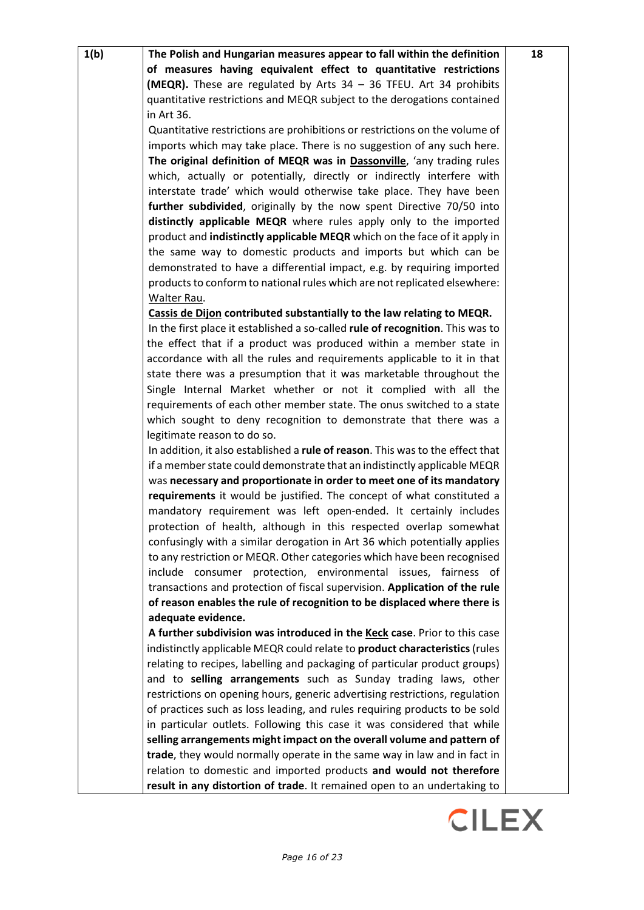| 1(b) | The Polish and Hungarian measures appear to fall within the definition           | 18 |
|------|----------------------------------------------------------------------------------|----|
|      | of measures having equivalent effect to quantitative restrictions                |    |
|      | (MEQR). These are regulated by Arts 34 - 36 TFEU. Art 34 prohibits               |    |
|      |                                                                                  |    |
|      | quantitative restrictions and MEQR subject to the derogations contained          |    |
|      | in Art 36.                                                                       |    |
|      | Quantitative restrictions are prohibitions or restrictions on the volume of      |    |
|      | imports which may take place. There is no suggestion of any such here.           |    |
|      | The original definition of MEQR was in Dassonville, 'any trading rules           |    |
|      | which, actually or potentially, directly or indirectly interfere with            |    |
|      | interstate trade' which would otherwise take place. They have been               |    |
|      | further subdivided, originally by the now spent Directive 70/50 into             |    |
|      | distinctly applicable MEQR where rules apply only to the imported                |    |
|      | product and <b>indistinctly applicable MEQR</b> which on the face of it apply in |    |
|      | the same way to domestic products and imports but which can be                   |    |
|      | demonstrated to have a differential impact, e.g. by requiring imported           |    |
|      | products to conform to national rules which are not replicated elsewhere:        |    |
|      | Walter Rau.                                                                      |    |
|      | Cassis de Dijon contributed substantially to the law relating to MEQR.           |    |
|      | In the first place it established a so-called rule of recognition. This was to   |    |
|      | the effect that if a product was produced within a member state in               |    |
|      | accordance with all the rules and requirements applicable to it in that          |    |
|      | state there was a presumption that it was marketable throughout the              |    |
|      | Single Internal Market whether or not it complied with all the                   |    |
|      | requirements of each other member state. The onus switched to a state            |    |
|      | which sought to deny recognition to demonstrate that there was a                 |    |
|      | legitimate reason to do so.                                                      |    |
|      | In addition, it also established a rule of reason. This was to the effect that   |    |
|      | if a member state could demonstrate that an indistinctly applicable MEQR         |    |
|      | was necessary and proportionate in order to meet one of its mandatory            |    |
|      | requirements it would be justified. The concept of what constituted a            |    |
|      | mandatory requirement was left open-ended. It certainly includes                 |    |
|      | protection of health, although in this respected overlap somewhat                |    |
|      | confusingly with a similar derogation in Art 36 which potentially applies        |    |
|      | to any restriction or MEQR. Other categories which have been recognised          |    |
|      | include consumer protection, environmental issues, fairness of                   |    |
|      | transactions and protection of fiscal supervision. Application of the rule       |    |
|      | of reason enables the rule of recognition to be displaced where there is         |    |
|      | adequate evidence.                                                               |    |
|      | A further subdivision was introduced in the Keck case. Prior to this case        |    |
|      |                                                                                  |    |
|      | indistinctly applicable MEQR could relate to product characteristics (rules      |    |
|      | relating to recipes, labelling and packaging of particular product groups)       |    |
|      | and to selling arrangements such as Sunday trading laws, other                   |    |
|      | restrictions on opening hours, generic advertising restrictions, regulation      |    |
|      | of practices such as loss leading, and rules requiring products to be sold       |    |
|      | in particular outlets. Following this case it was considered that while          |    |
|      | selling arrangements might impact on the overall volume and pattern of           |    |
|      | trade, they would normally operate in the same way in law and in fact in         |    |
|      | relation to domestic and imported products and would not therefore               |    |
|      | result in any distortion of trade. It remained open to an undertaking to         |    |

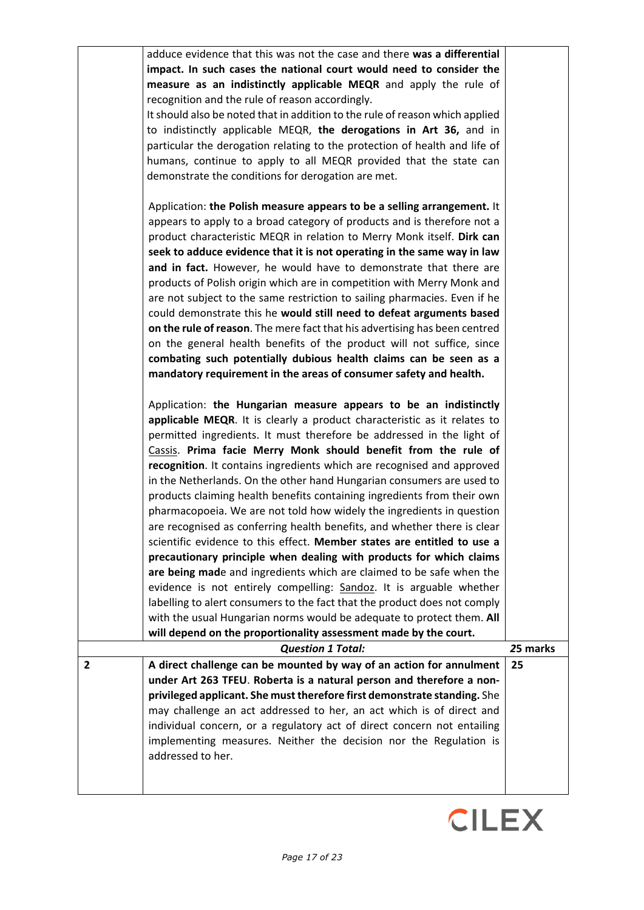|                | adduce evidence that this was not the case and there was a differential      |          |
|----------------|------------------------------------------------------------------------------|----------|
|                | impact. In such cases the national court would need to consider the          |          |
|                | measure as an indistinctly applicable MEQR and apply the rule of             |          |
|                | recognition and the rule of reason accordingly.                              |          |
|                | It should also be noted that in addition to the rule of reason which applied |          |
|                | to indistinctly applicable MEQR, the derogations in Art 36, and in           |          |
|                |                                                                              |          |
|                | particular the derogation relating to the protection of health and life of   |          |
|                | humans, continue to apply to all MEQR provided that the state can            |          |
|                | demonstrate the conditions for derogation are met.                           |          |
|                | Application: the Polish measure appears to be a selling arrangement. It      |          |
|                | appears to apply to a broad category of products and is therefore not a      |          |
|                | product characteristic MEQR in relation to Merry Monk itself. Dirk can       |          |
|                | seek to adduce evidence that it is not operating in the same way in law      |          |
|                | and in fact. However, he would have to demonstrate that there are            |          |
|                | products of Polish origin which are in competition with Merry Monk and       |          |
|                | are not subject to the same restriction to sailing pharmacies. Even if he    |          |
|                | could demonstrate this he would still need to defeat arguments based         |          |
|                | on the rule of reason. The mere fact that his advertising has been centred   |          |
|                |                                                                              |          |
|                | on the general health benefits of the product will not suffice, since        |          |
|                | combating such potentially dubious health claims can be seen as a            |          |
|                | mandatory requirement in the areas of consumer safety and health.            |          |
|                | Application: the Hungarian measure appears to be an indistinctly             |          |
|                | applicable MEQR. It is clearly a product characteristic as it relates to     |          |
|                | permitted ingredients. It must therefore be addressed in the light of        |          |
|                | Cassis. Prima facie Merry Monk should benefit from the rule of               |          |
|                | recognition. It contains ingredients which are recognised and approved       |          |
|                | in the Netherlands. On the other hand Hungarian consumers are used to        |          |
|                | products claiming health benefits containing ingredients from their own      |          |
|                | pharmacopoeia. We are not told how widely the ingredients in question        |          |
|                | are recognised as conferring health benefits, and whether there is clear     |          |
|                | scientific evidence to this effect. Member states are entitled to use a      |          |
|                | precautionary principle when dealing with products for which claims          |          |
|                | are being made and ingredients which are claimed to be safe when the         |          |
|                | evidence is not entirely compelling: Sandoz. It is arguable whether          |          |
|                | labelling to alert consumers to the fact that the product does not comply    |          |
|                | with the usual Hungarian norms would be adequate to protect them. All        |          |
|                | will depend on the proportionality assessment made by the court.             |          |
|                | <b>Question 1 Total:</b>                                                     | 25 marks |
| $\overline{2}$ | A direct challenge can be mounted by way of an action for annulment          | 25       |
|                | under Art 263 TFEU. Roberta is a natural person and therefore a non-         |          |
|                | privileged applicant. She must therefore first demonstrate standing. She     |          |
|                | may challenge an act addressed to her, an act which is of direct and         |          |
|                | individual concern, or a regulatory act of direct concern not entailing      |          |
|                | implementing measures. Neither the decision nor the Regulation is            |          |
|                | addressed to her.                                                            |          |
|                |                                                                              |          |
|                |                                                                              |          |

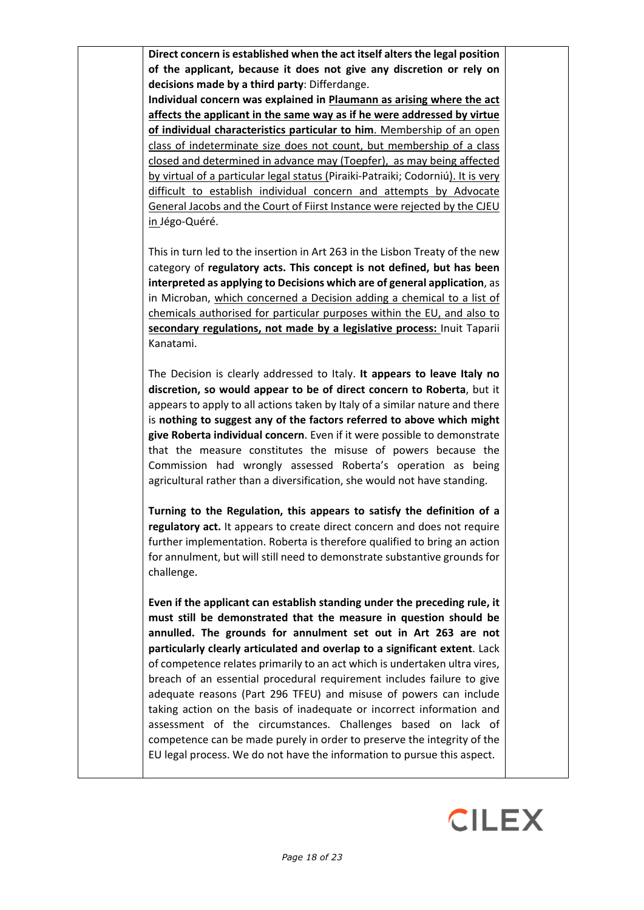**Direct concern is established when the act itself alters the legal position of the applicant, because it does not give any discretion or rely on decisions made by a third party**: Differdange.

**Individual concern was explained in Plaumann as arising where the act affects the applicant in the same way as if he were addressed by virtue of individual characteristics particular to him**. Membership of an open class of indeterminate size does not count, but membership of a class closed and determined in advance may (Toepfer), as may being affected by virtual of a particular legal status (Piraiki-Patraiki; Codorniú). It is very difficult to establish individual concern and attempts by Advocate General Jacobs and the Court of Fiirst Instance were rejected by the CJEU in Jégo-Quéré.

This in turn led to the insertion in Art 263 in the Lisbon Treaty of the new category of **regulatory acts. This concept is not defined, but has been interpreted as applying to Decisions which are of general application**, as in Microban, which concerned a Decision adding a chemical to a list of chemicals authorised for particular purposes within the EU, and also to **secondary regulations, not made by a legislative process:** Inuit Taparii Kanatami.

The Decision is clearly addressed to Italy. **It appears to leave Italy no discretion, so would appear to be of direct concern to Roberta**, but it appears to apply to all actions taken by Italy of a similar nature and there is **nothing to suggest any of the factors referred to above which might give Roberta individual concern**. Even if it were possible to demonstrate that the measure constitutes the misuse of powers because the Commission had wrongly assessed Roberta's operation as being agricultural rather than a diversification, she would not have standing.

**Turning to the Regulation, this appears to satisfy the definition of a regulatory act.** It appears to create direct concern and does not require further implementation. Roberta is therefore qualified to bring an action for annulment, but will still need to demonstrate substantive grounds for challenge.

**Even if the applicant can establish standing under the preceding rule, it must still be demonstrated that the measure in question should be annulled. The grounds for annulment set out in Art 263 are not particularly clearly articulated and overlap to a significant extent**. Lack of competence relates primarily to an act which is undertaken ultra vires, breach of an essential procedural requirement includes failure to give adequate reasons (Part 296 TFEU) and misuse of powers can include taking action on the basis of inadequate or incorrect information and assessment of the circumstances. Challenges based on lack of competence can be made purely in order to preserve the integrity of the EU legal process. We do not have the information to pursue this aspect.

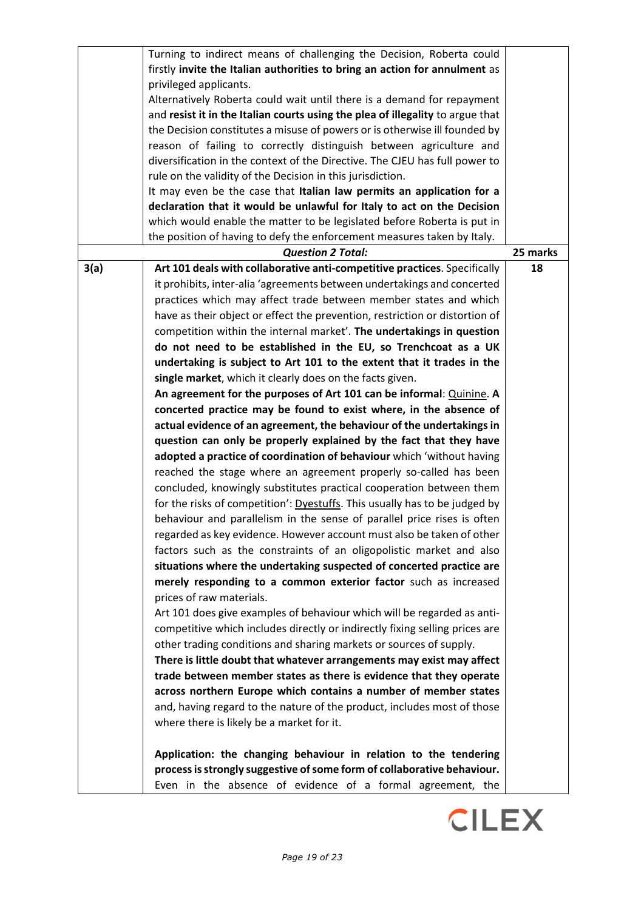| firstly invite the Italian authorities to bring an action for annulment as<br>privileged applicants.<br>Alternatively Roberta could wait until there is a demand for repayment<br>and resist it in the Italian courts using the plea of illegality to argue that<br>the Decision constitutes a misuse of powers or is otherwise ill founded by<br>reason of failing to correctly distinguish between agriculture and<br>diversification in the context of the Directive. The CJEU has full power to |
|-----------------------------------------------------------------------------------------------------------------------------------------------------------------------------------------------------------------------------------------------------------------------------------------------------------------------------------------------------------------------------------------------------------------------------------------------------------------------------------------------------|
|                                                                                                                                                                                                                                                                                                                                                                                                                                                                                                     |
|                                                                                                                                                                                                                                                                                                                                                                                                                                                                                                     |
|                                                                                                                                                                                                                                                                                                                                                                                                                                                                                                     |
|                                                                                                                                                                                                                                                                                                                                                                                                                                                                                                     |
|                                                                                                                                                                                                                                                                                                                                                                                                                                                                                                     |
|                                                                                                                                                                                                                                                                                                                                                                                                                                                                                                     |
|                                                                                                                                                                                                                                                                                                                                                                                                                                                                                                     |
| rule on the validity of the Decision in this jurisdiction.                                                                                                                                                                                                                                                                                                                                                                                                                                          |
| It may even be the case that Italian law permits an application for a                                                                                                                                                                                                                                                                                                                                                                                                                               |
| declaration that it would be unlawful for Italy to act on the Decision                                                                                                                                                                                                                                                                                                                                                                                                                              |
| which would enable the matter to be legislated before Roberta is put in                                                                                                                                                                                                                                                                                                                                                                                                                             |
| the position of having to defy the enforcement measures taken by Italy.                                                                                                                                                                                                                                                                                                                                                                                                                             |
| 25 marks<br><b>Question 2 Total:</b>                                                                                                                                                                                                                                                                                                                                                                                                                                                                |
| 3(a)<br>Art 101 deals with collaborative anti-competitive practices. Specifically<br>18                                                                                                                                                                                                                                                                                                                                                                                                             |
| it prohibits, inter-alia 'agreements between undertakings and concerted                                                                                                                                                                                                                                                                                                                                                                                                                             |
| practices which may affect trade between member states and which                                                                                                                                                                                                                                                                                                                                                                                                                                    |
| have as their object or effect the prevention, restriction or distortion of                                                                                                                                                                                                                                                                                                                                                                                                                         |
| competition within the internal market'. The undertakings in question                                                                                                                                                                                                                                                                                                                                                                                                                               |
| do not need to be established in the EU, so Trenchcoat as a UK                                                                                                                                                                                                                                                                                                                                                                                                                                      |
| undertaking is subject to Art 101 to the extent that it trades in the                                                                                                                                                                                                                                                                                                                                                                                                                               |
| single market, which it clearly does on the facts given.                                                                                                                                                                                                                                                                                                                                                                                                                                            |
| An agreement for the purposes of Art 101 can be informal: Quinine. A                                                                                                                                                                                                                                                                                                                                                                                                                                |
| concerted practice may be found to exist where, in the absence of                                                                                                                                                                                                                                                                                                                                                                                                                                   |
| actual evidence of an agreement, the behaviour of the undertakings in                                                                                                                                                                                                                                                                                                                                                                                                                               |
| question can only be properly explained by the fact that they have                                                                                                                                                                                                                                                                                                                                                                                                                                  |
|                                                                                                                                                                                                                                                                                                                                                                                                                                                                                                     |
| adopted a practice of coordination of behaviour which 'without having                                                                                                                                                                                                                                                                                                                                                                                                                               |
| reached the stage where an agreement properly so-called has been                                                                                                                                                                                                                                                                                                                                                                                                                                    |
| concluded, knowingly substitutes practical cooperation between them                                                                                                                                                                                                                                                                                                                                                                                                                                 |
| for the risks of competition': Dyestuffs. This usually has to be judged by                                                                                                                                                                                                                                                                                                                                                                                                                          |
| behaviour and parallelism in the sense of parallel price rises is often                                                                                                                                                                                                                                                                                                                                                                                                                             |
| regarded as key evidence. However account must also be taken of other                                                                                                                                                                                                                                                                                                                                                                                                                               |
| factors such as the constraints of an oligopolistic market and also                                                                                                                                                                                                                                                                                                                                                                                                                                 |
| situations where the undertaking suspected of concerted practice are                                                                                                                                                                                                                                                                                                                                                                                                                                |
| merely responding to a common exterior factor such as increased                                                                                                                                                                                                                                                                                                                                                                                                                                     |
| prices of raw materials.                                                                                                                                                                                                                                                                                                                                                                                                                                                                            |
| Art 101 does give examples of behaviour which will be regarded as anti-                                                                                                                                                                                                                                                                                                                                                                                                                             |
| competitive which includes directly or indirectly fixing selling prices are                                                                                                                                                                                                                                                                                                                                                                                                                         |
| other trading conditions and sharing markets or sources of supply.                                                                                                                                                                                                                                                                                                                                                                                                                                  |
| There is little doubt that whatever arrangements may exist may affect                                                                                                                                                                                                                                                                                                                                                                                                                               |
| trade between member states as there is evidence that they operate                                                                                                                                                                                                                                                                                                                                                                                                                                  |
| across northern Europe which contains a number of member states                                                                                                                                                                                                                                                                                                                                                                                                                                     |
| and, having regard to the nature of the product, includes most of those                                                                                                                                                                                                                                                                                                                                                                                                                             |
| where there is likely be a market for it.                                                                                                                                                                                                                                                                                                                                                                                                                                                           |
|                                                                                                                                                                                                                                                                                                                                                                                                                                                                                                     |
| Application: the changing behaviour in relation to the tendering                                                                                                                                                                                                                                                                                                                                                                                                                                    |
| process is strongly suggestive of some form of collaborative behaviour.                                                                                                                                                                                                                                                                                                                                                                                                                             |
| Even in the absence of evidence of a formal agreement, the                                                                                                                                                                                                                                                                                                                                                                                                                                          |

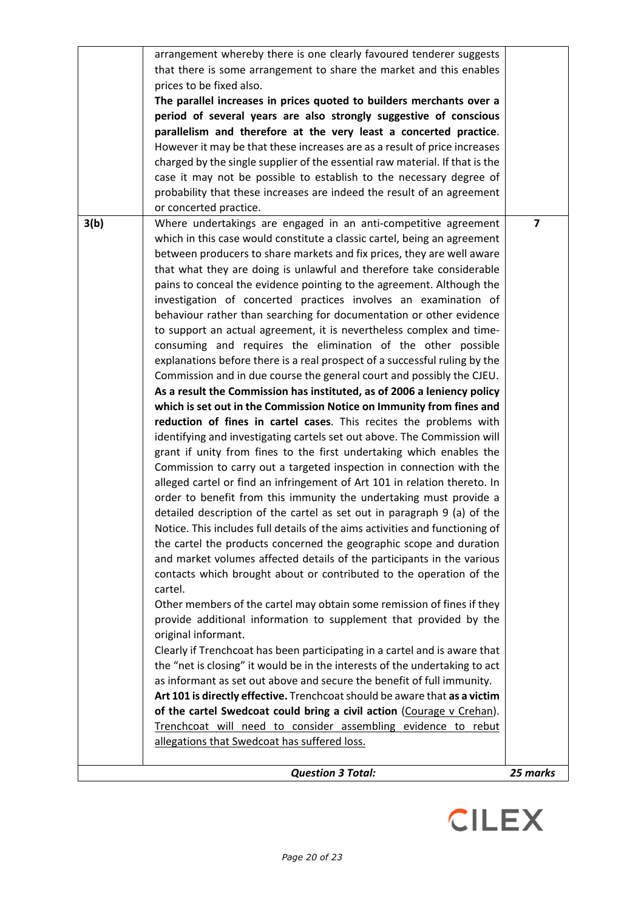|      | <b>Question 3 Total:</b>                                                                                                                                  | 25 marks |
|------|-----------------------------------------------------------------------------------------------------------------------------------------------------------|----------|
|      | allegations that Swedcoat has suffered loss.                                                                                                              |          |
|      | Trenchcoat will need to consider assembling evidence to rebut                                                                                             |          |
|      | of the cartel Swedcoat could bring a civil action (Courage v Crehan).                                                                                     |          |
|      | Art 101 is directly effective. Trenchcoat should be aware that as a victim                                                                                |          |
|      | as informant as set out above and secure the benefit of full immunity.                                                                                    |          |
|      | Clearly if Trenchcoat has been participating in a cartel and is aware that<br>the "net is closing" it would be in the interests of the undertaking to act |          |
|      | original informant.                                                                                                                                       |          |
|      | provide additional information to supplement that provided by the                                                                                         |          |
|      | Other members of the cartel may obtain some remission of fines if they                                                                                    |          |
|      | contacts which brought about or contributed to the operation of the<br>cartel.                                                                            |          |
|      | and market volumes affected details of the participants in the various                                                                                    |          |
|      | the cartel the products concerned the geographic scope and duration                                                                                       |          |
|      | Notice. This includes full details of the aims activities and functioning of                                                                              |          |
|      | detailed description of the cartel as set out in paragraph 9 (a) of the                                                                                   |          |
|      | alleged cartel or find an infringement of Art 101 in relation thereto. In<br>order to benefit from this immunity the undertaking must provide a           |          |
|      | Commission to carry out a targeted inspection in connection with the                                                                                      |          |
|      | grant if unity from fines to the first undertaking which enables the                                                                                      |          |
|      | identifying and investigating cartels set out above. The Commission will                                                                                  |          |
|      | reduction of fines in cartel cases. This recites the problems with                                                                                        |          |
|      | As a result the Commission has instituted, as of 2006 a leniency policy<br>which is set out in the Commission Notice on Immunity from fines and           |          |
|      | Commission and in due course the general court and possibly the CJEU.                                                                                     |          |
|      | explanations before there is a real prospect of a successful ruling by the                                                                                |          |
|      | consuming and requires the elimination of the other possible                                                                                              |          |
|      | to support an actual agreement, it is nevertheless complex and time-                                                                                      |          |
|      | behaviour rather than searching for documentation or other evidence                                                                                       |          |
|      | pains to conceal the evidence pointing to the agreement. Although the<br>investigation of concerted practices involves an examination of                  |          |
|      | that what they are doing is unlawful and therefore take considerable                                                                                      |          |
|      | between producers to share markets and fix prices, they are well aware                                                                                    |          |
|      | which in this case would constitute a classic cartel, being an agreement                                                                                  |          |
| 3(b) | Where undertakings are engaged in an anti-competitive agreement                                                                                           | 7        |
|      | or concerted practice.                                                                                                                                    |          |
|      | case it may not be possible to establish to the necessary degree of<br>probability that these increases are indeed the result of an agreement             |          |
|      | charged by the single supplier of the essential raw material. If that is the                                                                              |          |
|      | However it may be that these increases are as a result of price increases                                                                                 |          |
|      | parallelism and therefore at the very least a concerted practice.                                                                                         |          |
|      | The parallel increases in prices quoted to builders merchants over a<br>period of several years are also strongly suggestive of conscious                 |          |
|      | prices to be fixed also.                                                                                                                                  |          |
|      | that there is some arrangement to share the market and this enables                                                                                       |          |
|      | arrangement whereby there is one clearly favoured tenderer suggests                                                                                       |          |

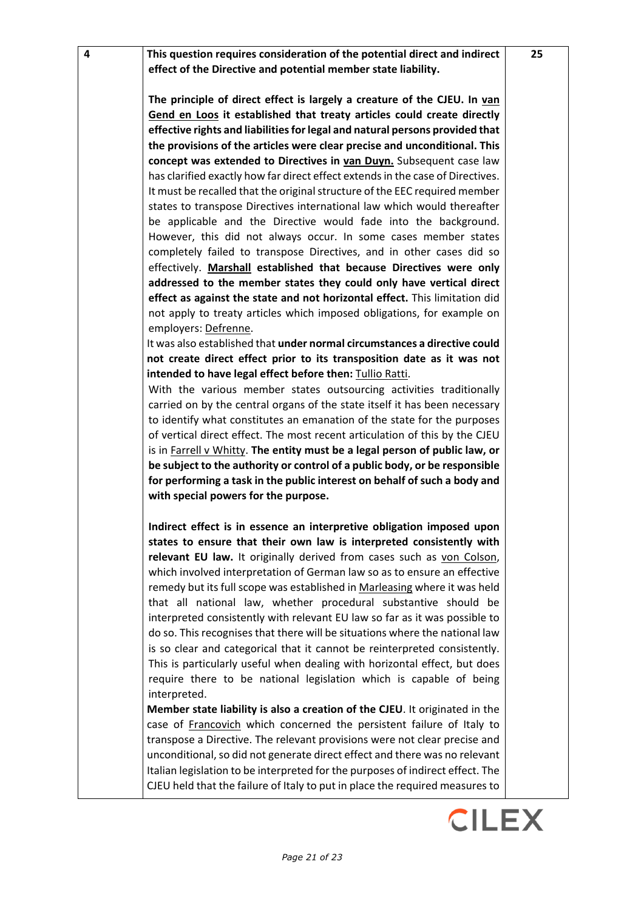**4 This question requires consideration of the potential direct and indirect effect of the Directive and potential member state liability.**

> **The principle of direct effect is largely a creature of the CJEU. In van Gend en Loos it established that treaty articles could create directly effective rights and liabilities for legal and natural persons provided that the provisions of the articles were clear precise and unconditional. This concept was extended to Directives in van Duyn.** Subsequent case law has clarified exactly how far direct effect extends in the case of Directives. It must be recalled that the original structure of the EEC required member states to transpose Directives international law which would thereafter be applicable and the Directive would fade into the background. However, this did not always occur. In some cases member states completely failed to transpose Directives, and in other cases did so effectively. **Marshall established that because Directives were only addressed to the member states they could only have vertical direct effect as against the state and not horizontal effect.** This limitation did not apply to treaty articles which imposed obligations, for example on employers: Defrenne.

> It was also established that **under normal circumstances a directive could not create direct effect prior to its transposition date as it was not intended to have legal effect before then:** Tullio Ratti.

> With the various member states outsourcing activities traditionally carried on by the central organs of the state itself it has been necessary to identify what constitutes an emanation of the state for the purposes of vertical direct effect. The most recent articulation of this by the CJEU is in Farrell v Whitty. **The entity must be a legal person of public law, or be subject to the authority or control of a public body, or be responsible for performing a task in the public interest on behalf of such a body and with special powers for the purpose.**

> **Indirect effect is in essence an interpretive obligation imposed upon states to ensure that their own law is interpreted consistently with relevant EU law.** It originally derived from cases such as von Colson, which involved interpretation of German law so as to ensure an effective remedy but its full scope was established in Marleasing where it was held that all national law, whether procedural substantive should be interpreted consistently with relevant EU law so far as it was possible to do so. This recognises that there will be situations where the national law is so clear and categorical that it cannot be reinterpreted consistently. This is particularly useful when dealing with horizontal effect, but does require there to be national legislation which is capable of being interpreted.

> **Member state liability is also a creation of the CJEU**. It originated in the case of Francovich which concerned the persistent failure of Italy to transpose a Directive. The relevant provisions were not clear precise and unconditional, so did not generate direct effect and there was no relevant Italian legislation to be interpreted for the purposes of indirect effect. The CJEU held that the failure of Italy to put in place the required measures to

**25**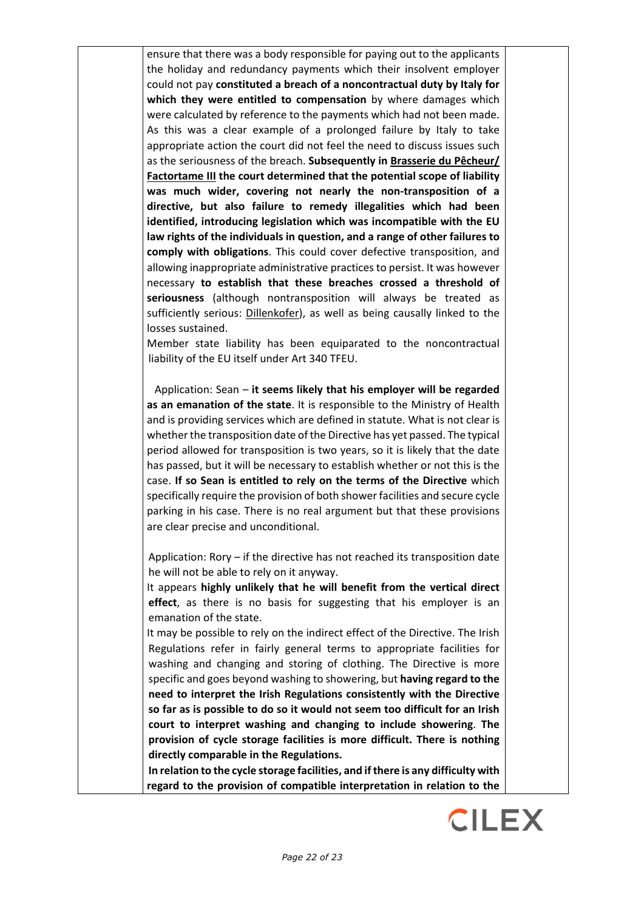ensure that there was a body responsible for paying out to the applicants the holiday and redundancy payments which their insolvent employer could not pay **constituted a breach of a noncontractual duty by Italy for which they were entitled to compensation** by where damages which were calculated by reference to the payments which had not been made. As this was a clear example of a prolonged failure by Italy to take appropriate action the court did not feel the need to discuss issues such as the seriousness of the breach. **Subsequently in Brasserie du Pêcheur/ Factortame III the court determined that the potential scope of liability was much wider, covering not nearly the non-transposition of a directive, but also failure to remedy illegalities which had been identified, introducing legislation which was incompatible with the EU law rights of the individuals in question, and a range of other failures to comply with obligations**. This could cover defective transposition, and allowing inappropriate administrative practices to persist. It was however necessary **to establish that these breaches crossed a threshold of seriousness** (although nontransposition will always be treated as sufficiently serious: Dillenkofer), as well as being causally linked to the losses sustained.

Member state liability has been equiparated to the noncontractual liability of the EU itself under Art 340 TFEU.

Application: Sean – **it seems likely that his employer will be regarded as an emanation of the state**. It is responsible to the Ministry of Health and is providing services which are defined in statute. What is not clear is whether the transposition date of the Directive has yet passed. The typical period allowed for transposition is two years, so it is likely that the date has passed, but it will be necessary to establish whether or not this is the case. **If so Sean is entitled to rely on the terms of the Directive** which specifically require the provision of both shower facilities and secure cycle parking in his case. There is no real argument but that these provisions are clear precise and unconditional.

Application: Rory – if the directive has not reached its transposition date he will not be able to rely on it anyway.

It appears **highly unlikely that he will benefit from the vertical direct effect**, as there is no basis for suggesting that his employer is an emanation of the state.

It may be possible to rely on the indirect effect of the Directive. The Irish Regulations refer in fairly general terms to appropriate facilities for washing and changing and storing of clothing. The Directive is more specific and goes beyond washing to showering, but **having regard to the need to interpret the Irish Regulations consistently with the Directive so far as is possible to do so it would not seem too difficult for an Irish court to interpret washing and changing to include showering**. **The provision of cycle storage facilities is more difficult. There is nothing directly comparable in the Regulations.**

**In relation to the cycle storage facilities, and if there is any difficulty with regard to the provision of compatible interpretation in relation to the**